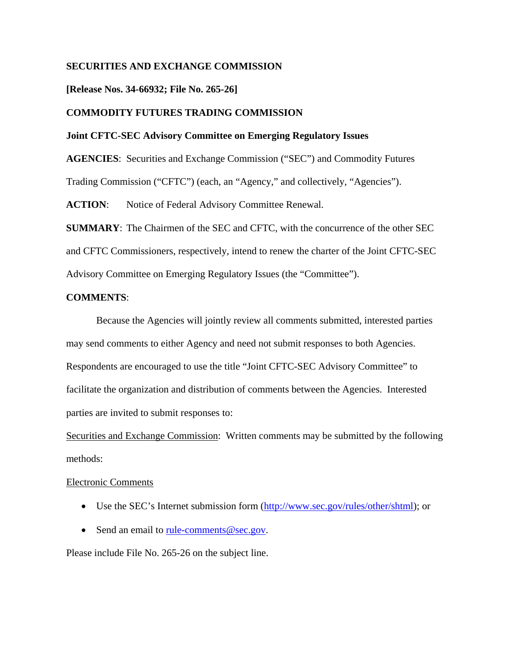# **SECURITIES AND EXCHANGE COMMISSION**

**[Release Nos. 34-66932; File No. 265-26]**

# **COMMODITY FUTURES TRADING COMMISSION**

### **Joint CFTC-SEC Advisory Committee on Emerging Regulatory Issues**

**AGENCIES**: Securities and Exchange Commission ("SEC") and Commodity Futures

Trading Commission ("CFTC") (each, an "Agency," and collectively, "Agencies").

**ACTION**: Notice of Federal Advisory Committee Renewal.

**SUMMARY**: The Chairmen of the SEC and CFTC, with the concurrence of the other SEC and CFTC Commissioners, respectively, intend to renew the charter of the Joint CFTC-SEC Advisory Committee on Emerging Regulatory Issues (the "Committee").

### **COMMENTS**:

Because the Agencies will jointly review all comments submitted, interested parties may send comments to either Agency and need not submit responses to both Agencies. Respondents are encouraged to use the title "Joint CFTC-SEC Advisory Committee" to facilitate the organization and distribution of comments between the Agencies. Interested parties are invited to submit responses to:

Securities and Exchange Commission: Written comments may be submitted by the following methods:

### Electronic Comments

- Use the SEC's Internet submission form [\(http://www.sec.gov/rules/other/shtml\)](http://www.sec.gov/rules/other/shtml); or
- Send an email to [rule-comments@sec.gov.](mailto:rule-comments@sec.gov)

Please include File No. 265-26 on the subject line.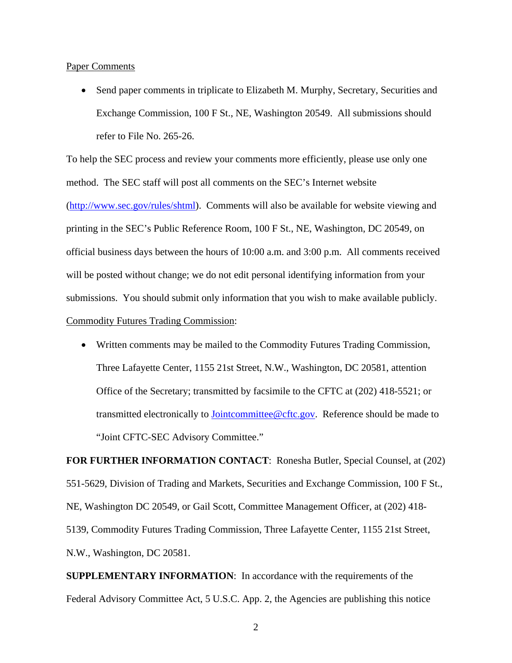#### Paper Comments

• Send paper comments in triplicate to Elizabeth M. Murphy, Secretary, Securities and Exchange Commission, 100 F St., NE, Washington 20549. All submissions should refer to File No. 265-26.

To help the SEC process and review your comments more efficiently, please use only one method. The SEC staff will post all comments on the SEC's Internet website [\(http://www.sec.gov/rules/shtml\)](http://www.sec.gov/rules/shtml). Comments will also be available for website viewing and printing in the SEC's Public Reference Room, 100 F St., NE, Washington, DC 20549, on official business days between the hours of 10:00 a.m. and 3:00 p.m. All comments received will be posted without change; we do not edit personal identifying information from your submissions. You should submit only information that you wish to make available publicly. Commodity Futures Trading Commission :

• Written comments may be mailed to the Commodity Futures Trading Commission, Three Lafayette Center, 1155 21st Street, N.W., Washington, DC 20581, attention Office of the Secretary; transmitted by facsimile to the CFTC at (202) 418-5521; or transmitted electronically to **Jointcommittee@cftc.gov**. Reference should be made to "Joint CFTC-SEC Advisory Committee."

**FOR FURTHER INFORMATION CONTACT**: Ronesha Butler, Special Counsel, at (202) 551-5629, Division of Trading and Markets, Securities and Exchange Commission, 100 F St., NE, Washington DC 20549, or Gail Scott, Committee Management Officer, at (202) 418- 5139, Commodity Futures Trading Commission, Three Lafayette Center, 1155 21st Street, N.W., Washington, DC 20581.

**SUPPLEMENTARY INFORMATION**: In accordance with the requirements of the Federal Advisory Committee Act, 5 U.S.C. App. 2, the Agencies are publishing this notice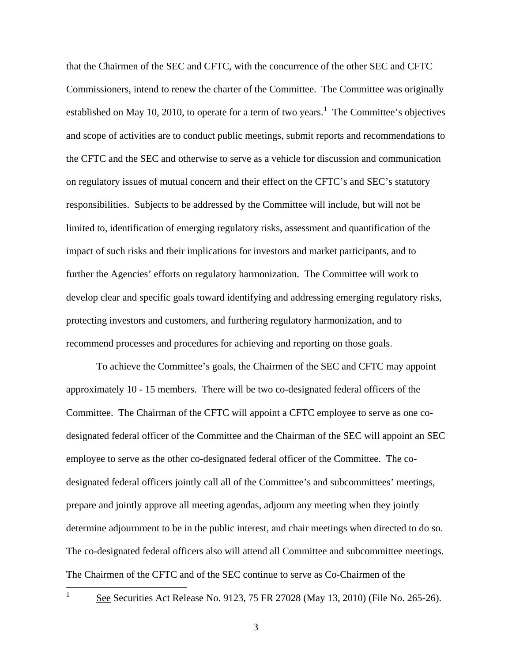that the Chairmen of the SEC and CFTC, with the concurrence of the other SEC and CFTC Commissioners, intend to renew the charter of the Committee. The Committee was originally established on May [1](#page-2-0)0, 2010, to operate for a term of two years.<sup>1</sup> The Committee's objectives and scope of activities are to conduct public meetings, submit reports and recommendations to the CFTC and the SEC and otherwise to serve as a vehicle for discussion and communication on regulatory issues of mutual concern and their effect on the CFTC's and SEC's statutory responsibilities. Subjects to be addressed by the Committee will include, but will not be limited to, identification of emerging regulatory risks, assessment and quantification of the impact of such risks and their implications for investors and market participants, and to further the Agencies' efforts on regulatory harmonization. The Committee will work to develop clear and specific goals toward identifying and addressing emerging regulatory risks, protecting investors and customers, and furthering regulatory harmonization, and to recommend processes and procedures for achieving and reporting on those goals.

To achieve the Committee's goals, the Chairmen of the SEC and CFTC may appoint approximately 10 - 15 members. There will be two co-designated federal officers of the Committee. The Chairman of the CFTC will appoint a CFTC employee to serve as one codesignated federal officer of the Committee and the Chairman of the SEC will appoint an SEC employee to serve as the other co-designated federal officer of the Committee. The codesignated federal officers jointly call all of the Committee's and subcommittees' meetings, prepare and jointly approve all meeting agendas, adjourn any meeting when they jointly determine adjournment to be in the public interest, and chair meetings when directed to do so. The co-designated federal officers also will attend all Committee and subcommittee meetings. The Chairmen of the CFTC and of the SEC continue to serve as Co-Chairmen of the

<span id="page-2-0"></span>

 $\frac{1}{1}$  See Securities Act Release No. 9123, 75 FR 27028 (May 13, 2010) (File No. 265-26).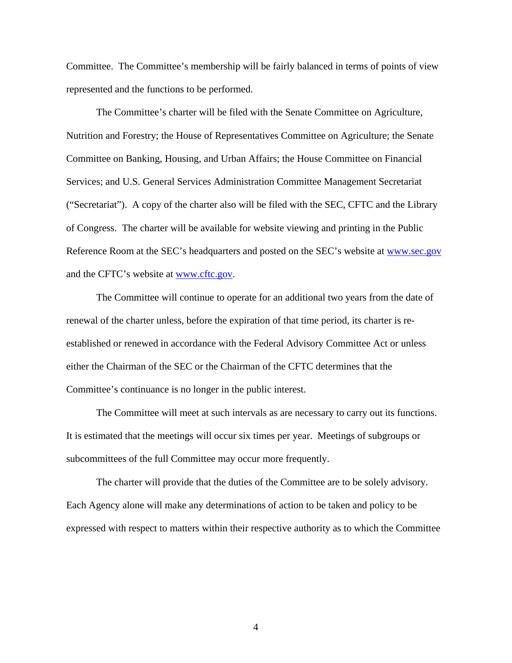Committee. The Committee's membership will be fairly balanced in terms of points of view represented and the functions to be performed.

The Committee's charter will be filed with the Senate Committee on Agriculture, Nutrition and Forestry; the House of Representatives Committee on Agriculture; the Senate Committee on Banking, Housing, and Urban Affairs; the House Committee on Financial Services; and U.S. General Services Administration Committee Management Secretariat ("Secretariat"). A copy of the charter also will be filed with the SEC, CFTC and the Library of Congress. The charter will be available for website viewing and printing in the Public Reference Room at the SEC's headquarters and posted on the SEC's website at [www.sec.gov](http://www.sec.gov/) and the CFTC's website at [www.cftc.gov.](http://www.cftc.gov/)

The Committee will continue to operate for an additional two years from the date of renewal of the charter unless, before the expiration of that time period, its charter is reestablished or renewed in accordance with the Federal Advisory Committee Act or unless either the Chairman of the SEC or the Chairman of the CFTC determines that the Committee's continuance is no longer in the public interest.

The Committee will meet at such intervals as are necessary to carry out its functions. It is estimated that the meetings will occur six times per year. Meetings of subgroups or subcommittees of the full Committee may occur more frequently.

The charter will provide that the duties of the Committee are to be solely advisory. Each Agency alone will make any determinations of action to be taken and policy to be expressed with respect to matters within their respective authority as to which the Committee

4